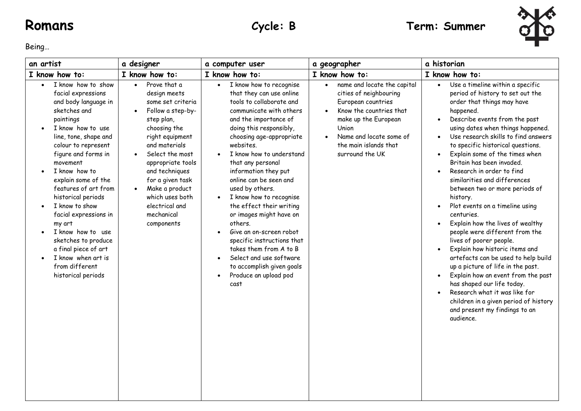

Being…

| an artist                                                                                                                                                                                                                                                                                                                                                                                                                                                                          | a designer                                                                                                                                                                                                                                                                                                             | a computer user                                                                                                                                                                                                                                                                                                                                                                                                                                                                                                                                                                                                                  | a geographer                                                                                                                                                                                                                                          | a historian                                                                                                                                                                                                                                                                                                                                                                                                                                                                                                                                                                                                                                                                                                                                                                                                                                                                                                          |
|------------------------------------------------------------------------------------------------------------------------------------------------------------------------------------------------------------------------------------------------------------------------------------------------------------------------------------------------------------------------------------------------------------------------------------------------------------------------------------|------------------------------------------------------------------------------------------------------------------------------------------------------------------------------------------------------------------------------------------------------------------------------------------------------------------------|----------------------------------------------------------------------------------------------------------------------------------------------------------------------------------------------------------------------------------------------------------------------------------------------------------------------------------------------------------------------------------------------------------------------------------------------------------------------------------------------------------------------------------------------------------------------------------------------------------------------------------|-------------------------------------------------------------------------------------------------------------------------------------------------------------------------------------------------------------------------------------------------------|----------------------------------------------------------------------------------------------------------------------------------------------------------------------------------------------------------------------------------------------------------------------------------------------------------------------------------------------------------------------------------------------------------------------------------------------------------------------------------------------------------------------------------------------------------------------------------------------------------------------------------------------------------------------------------------------------------------------------------------------------------------------------------------------------------------------------------------------------------------------------------------------------------------------|
| I know how to:                                                                                                                                                                                                                                                                                                                                                                                                                                                                     | I know how to:                                                                                                                                                                                                                                                                                                         | I know how to:                                                                                                                                                                                                                                                                                                                                                                                                                                                                                                                                                                                                                   | I know how to:                                                                                                                                                                                                                                        | I know how to:                                                                                                                                                                                                                                                                                                                                                                                                                                                                                                                                                                                                                                                                                                                                                                                                                                                                                                       |
| I know how to show<br>facial expressions<br>and body language in<br>sketches and<br>paintings<br>I know how to use<br>line, tone, shape and<br>colour to represent<br>figure and forms in<br>movement<br>I know how to<br>explain some of the<br>features of art from<br>historical periods<br>I know to show<br>facial expressions in<br>my art<br>I know how to use<br>sketches to produce<br>a final piece of art<br>I know when art is<br>from different<br>historical periods | Prove that a<br>$\bullet$<br>design meets<br>some set criteria<br>Follow a step-by-<br>step plan,<br>choosing the<br>right equipment<br>and materials<br>Select the most<br>appropriate tools<br>and techniques<br>for a given task<br>Make a product<br>which uses both<br>electrical and<br>mechanical<br>components | I know how to recognise<br>$\bullet$<br>that they can use online<br>tools to collaborate and<br>communicate with others<br>and the importance of<br>doing this responsibly,<br>choosing age-appropriate<br>websites.<br>I know how to understand<br>$\bullet$<br>that any personal<br>information they put<br>online can be seen and<br>used by others.<br>I know how to recognise<br>the effect their writing<br>or images might have on<br>others.<br>Give an on-screen robot<br>specific instructions that<br>takes them from A to B<br>Select and use software<br>to accomplish given goals<br>Produce an upload pod<br>cast | name and locate the capital<br>$\bullet$<br>cities of neighbouring<br>European countries<br>Know the countries that<br>$\bullet$<br>make up the European<br>Union<br>Name and locate some of<br>$\bullet$<br>the main islands that<br>surround the UK | Use a timeline within a specific<br>period of history to set out the<br>order that things may have<br>happened.<br>Describe events from the past<br>using dates when things happened.<br>Use research skills to find answers<br>to specific historical questions.<br>Explain some of the times when<br>$\bullet$<br>Britain has been invaded.<br>Research in order to find<br>similarities and differences<br>between two or more periods of<br>history.<br>Plot events on a timeline using<br>centuries.<br>Explain how the lives of wealthy<br>people were different from the<br>lives of poorer people.<br>Explain how historic items and<br>artefacts can be used to help build<br>up a picture of life in the past.<br>Explain how an event from the past<br>has shaped our life today.<br>Research what it was like for<br>children in a given period of history<br>and present my findings to an<br>audience. |